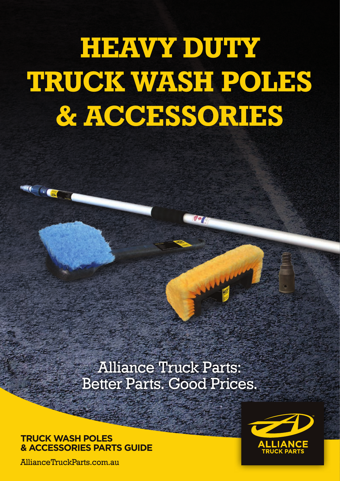# **HEAVY DUTY TRUCK WASH POLES & ACCESSORIES**

### Alliance Truck Parts: Better Parts. Good Prices.

#### **TRUCK WASH POLES & ACCESSORIES PARTS GUIDE**

AllianceTruckParts.com.au

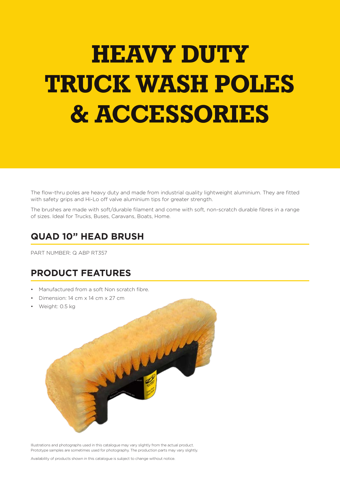## **HEAVY DUTY TRUCK WASH POLES & ACCESSORIES**

The flow-thru poles are heavy duty and made from industrial quality lightweight aluminium. They are fitted with safety grips and Hi-Lo off valve aluminium tips for greater strength.

The brushes are made with soft/durable filament and come with soft, non-scratch durable fibres in a range of sizes. Ideal for Trucks, Buses, Caravans, Boats, Home.

#### **QUAD 10" HEAD BRUSH**

PART NUMBER: Q ABP RT357

#### **PRODUCT FEATURES**

- Manufactured from a soft Non scratch fibre.
- Dimension: 14 cm x 14 cm x 27 cm
- Weight: 0.5 kg



Illustrations and photographs used in this catalogue may vary slightly from the actual product. Prototype samples are sometimes used for photography. The production parts may vary slightly.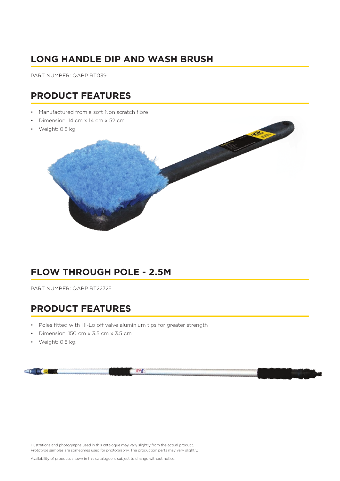#### **LONG HANDLE DIP AND WASH BRUSH**

PART NUMBER: QABP RT039

#### **PRODUCT FEATURES**

- Manufactured from a soft Non scratch fibre
- Dimension: 14 cm x 14 cm x 52 cm
- Weight: 0.5 kg



#### **FLOW THROUGH POLE - 2.5M**

PART NUMBER: QABP RT22725

#### **PRODUCT FEATURES**

- Poles fitted with Hi-Lo off valve aluminium tips for greater strength
- Dimension: 150 cm x 3.5 cm x 3.5 cm
- Weight: 0.5 kg.



Illustrations and photographs used in this catalogue may vary slightly from the actual product. Prototype samples are sometimes used for photography. The production parts may vary slightly.